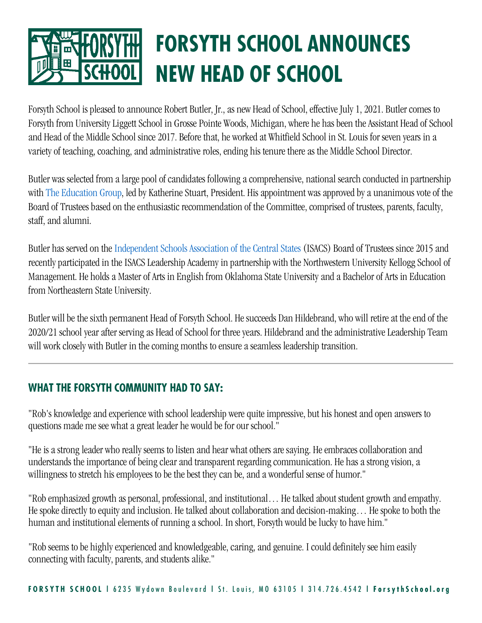

Forsyth School is pleased to announce Robert Butler, Jr., as new Head of School, effective July 1, 2021. Butler comes to Forsyth from University Liggett School in Grosse Pointe Woods, Michigan, where he has been the Assistant Head of School and Head of the Middle School since 2017. Before that, he worked at Whitfield School in St. Louis for seven years in a variety of teaching, coaching, and administrative roles, ending his tenure there as the Middle School Director.

Butler was selected from a large pool of candidates following a comprehensive, national search conducted in partnership with [The Education Group,](https://www.educationgroup.com/) led by Katherine Stuart, President. His appointment was approved by a unanimous vote of the Board of Trustees based on the enthusiastic recommendation of the Committee, comprised of trustees, parents, faculty, staff, and alumni.

Butler has served on the [Independent Schools Association of the Central States](https://www.isacs.org/) (ISACS) Board of Trustees since 2015 and recently participated in the ISACS Leadership Academy in partnership with the Northwestern University Kellogg School of Management. He holds a Master of Arts in English from Oklahoma State University and a Bachelor of Arts in Education from Northeastern State University.

Butler will be the sixth permanent Head of Forsyth School. He succeeds Dan Hildebrand, who will retire at the end of the 2020/21 school year after serving as Head of School for three years. Hildebrand and the administrative Leadership Team will work closely with Butler in the coming months to ensure a seamless leadership transition.

## **WHAT THE FORSYTH COMMUNITY HAD TO SAY:**

"Rob's knowledge and experience with school leadership were quite impressive, but his honest and open answers to questions made me see what a great leader he would be for our school."

"He is a strong leader who really seems to listen and hear what others are saying. He embraces collaboration and understands the importance of being clear and transparent regarding communication. He has a strong vision, a willingness to stretch his employees to be the best they can be, and a wonderful sense of humor."

"Rob emphasized growth as personal, professional, and institutional… He talked about student growth and empathy. He spoke directly to equity and inclusion. He talked about collaboration and decision-making… He spoke to both the human and institutional elements of running a school. In short, Forsyth would be lucky to have him."

"Rob seems to be highly experienced and knowledgeable, caring, and genuine. I could definitely see him easily connecting with faculty, parents, and students alike."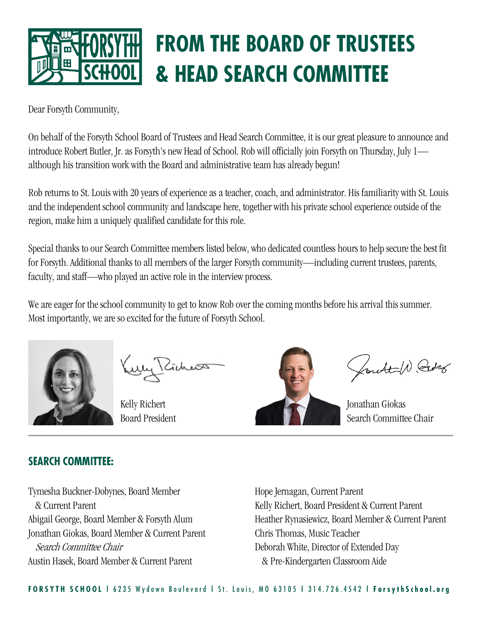

## **FROM THE BOARD OF TRUSTEES & HEAD SEARCH COMMITTEE**

Dear Forsyth Community,

On behalf of the Forsyth School Board of Trustees and Head Search Committee, it is our great pleasure to announce and introduce Robert Butler, Jr. as Forsyth's new Head of School. Rob will officially join Forsyth on Thursday, July 1 although his transition work with the Board and administrative team has already begun!

Rob returns to St. Louis with 20 years of experience as a teacher, coach, and administrator. His familiarity with St. Louis and the independent school community and landscape here, together with his private school experience outside of the region, make him a uniquely qualified candidate for this role.

Special thanks to our Search Committee members listed below, who dedicated countless hours to help secure the best fit for Forsyth. Additional thanks to all members of the larger Forsyth community—including current trustees, parents, faculty, and staff—who played an active role in the interview process.

We are eager for the school community to get to know Rob over the coming months before his arrival this summer. Most importantly, we are so excited for the future of Forsyth School.



Kelly Richert Board President



Control Borg

Jonathan Giokas Search Committee Chair

## **SEARCH COMMITTEE:**

Tymesha Buckner-Dobynes, Board Member & Current Parent Abigail George, Board Member & Forsyth Alum Jonathan Giokas, Board Member & Current Parent Search Committee Chair Austin Hasek, Board Member & Current Parent

Hope Jernagan, Current Parent Kelly Richert, Board President & Current Parent Heather Rynasiewicz, Board Member & Current Parent Chris Thomas, Music Teacher Deborah White, Director of Extended Day & Pre-Kindergarten Classroom Aide